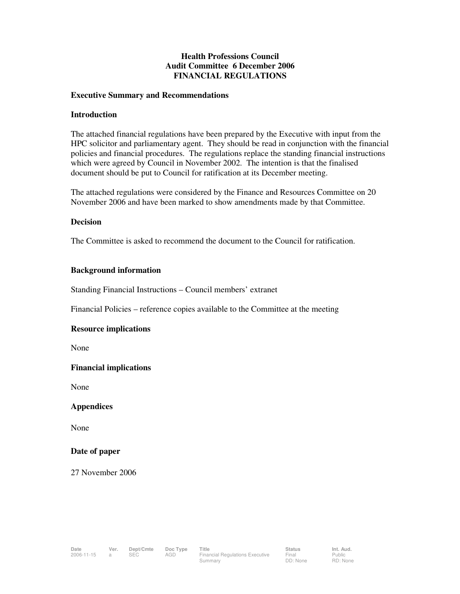#### **Health Professions Council Audit Committee 6 December 2006 FINANCIAL REGULATIONS**

#### **Executive Summary and Recommendations**

#### **Introduction**

The attached financial regulations have been prepared by the Executive with input from the HPC solicitor and parliamentary agent. They should be read in conjunction with the financial policies and financial procedures. The regulations replace the standing financial instructions which were agreed by Council in November 2002. The intention is that the finalised document should be put to Council for ratification at its December meeting.

The attached regulations were considered by the Finance and Resources Committee on 20 November 2006 and have been marked to show amendments made by that Committee.

#### **Decision**

The Committee is asked to recommend the document to the Council for ratification.

#### **Background information**

Standing Financial Instructions – Council members' extranet

Financial Policies – reference copies available to the Committee at the meeting

#### **Resource implications**

None

#### **Financial implications**

None

#### **Appendices**

None

#### **Date of paper**

27 November 2006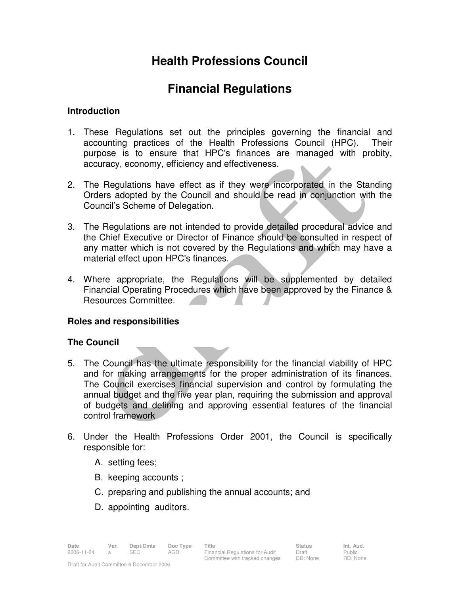# **Health Professions Council**

# **Financial Regulations**

## **Introduction**

- 1. These Regulations set out the principles governing the financial and accounting practices of the Health Professions Council (HPC). Their purpose is to ensure that HPC's finances are managed with probity, accuracy, economy, efficiency and effectiveness.
- 2. The Regulations have effect as if they were incorporated in the Standing Orders adopted by the Council and should be read in conjunction with the Council's Scheme of Delegation.
- 3. The Regulations are not intended to provide detailed procedural advice and the Chief Executive or Director of Finance should be consulted in respect of any matter which is not covered by the Regulations and which may have a material effect upon HPC's finances.
- 4. Where appropriate, the Regulations will be supplemented by detailed Financial Operating Procedures which have been approved by the Finance & Resources Committee.

# **Roles and responsibilities**

# **The Council**

- 5. The Council has the ultimate responsibility for the financial viability of HPC and for making arrangements for the proper administration of its finances. The Council exercises financial supervision and control by formulating the annual budget and the five year plan, requiring the submission and approval of budgets and defining and approving essential features of the financial control framework
- 6. Under the Health Professions Order 2001, the Council is specifically responsible for:
	- A. setting fees;
	- B. keeping accounts ;
	- C. preparing and publishing the annual accounts; and
	- D. appointing auditors.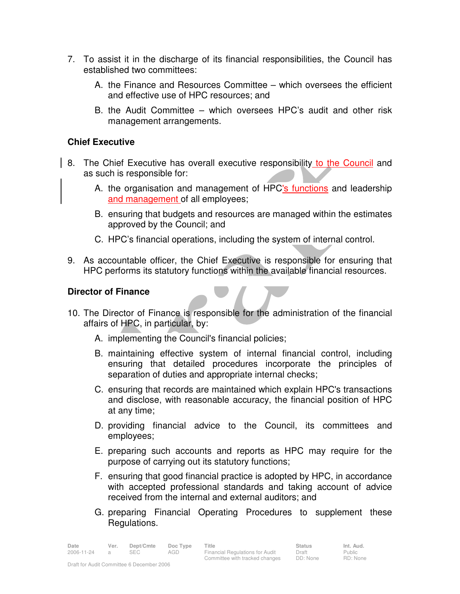- 7. To assist it in the discharge of its financial responsibilities, the Council has established two committees:
	- A. the Finance and Resources Committee which oversees the efficient and effective use of HPC resources; and
	- B. the Audit Committee which oversees HPC's audit and other risk management arrangements.

## **Chief Executive**

- 8. The Chief Executive has overall executive responsibility to the Council and as such is responsible for:
	- A. the organisation and management of HPC's functions and leadership and management of all employees;
	- B. ensuring that budgets and resources are managed within the estimates approved by the Council; and
	- C. HPC's financial operations, including the system of internal control.
- 9. As accountable officer, the Chief Executive is responsible for ensuring that HPC performs its statutory functions within the available financial resources.

## **Director of Finance**

- 10. The Director of Finance is responsible for the administration of the financial affairs of HPC, in particular, by:
	- A. implementing the Council's financial policies;
	- B. maintaining effective system of internal financial control, including ensuring that detailed procedures incorporate the principles of separation of duties and appropriate internal checks;
	- C. ensuring that records are maintained which explain HPC's transactions and disclose, with reasonable accuracy, the financial position of HPC at any time;
	- D. providing financial advice to the Council, its committees and employees;
	- E. preparing such accounts and reports as HPC may require for the purpose of carrying out its statutory functions;
	- F. ensuring that good financial practice is adopted by HPC, in accordance with accepted professional standards and taking account of advice received from the internal and external auditors; and
	- G. preparing Financial Operating Procedures to supplement these Regulations.

Public RD: None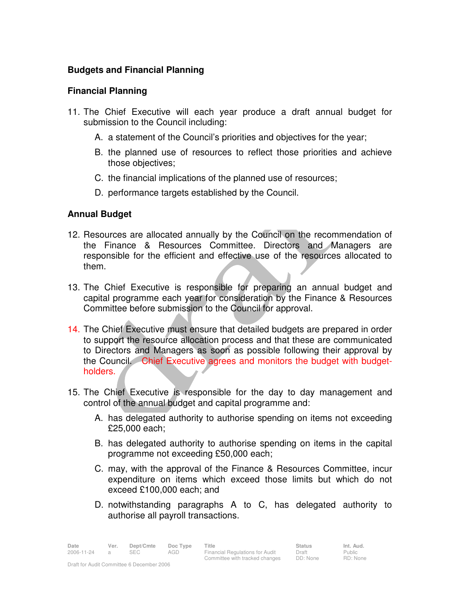# **Budgets and Financial Planning**

## **Financial Planning**

- 11. The Chief Executive will each year produce a draft annual budget for submission to the Council including:
	- A. a statement of the Council's priorities and objectives for the year;
	- B. the planned use of resources to reflect those priorities and achieve those objectives;
	- C. the financial implications of the planned use of resources;
	- D. performance targets established by the Council.

# **Annual Budget**

- 12. Resources are allocated annually by the Council on the recommendation of the Finance & Resources Committee. Directors and Managers are responsible for the efficient and effective use of the resources allocated to them.
- 13. The Chief Executive is responsible for preparing an annual budget and capital programme each year for consideration by the Finance & Resources Committee before submission to the Council for approval.
- 14. The Chief Executive must ensure that detailed budgets are prepared in order to support the resource allocation process and that these are communicated to Directors and Managers as soon as possible following their approval by the Council. Chief Executive agrees and monitors the budget with budgetholders.
- 15. The Chief Executive is responsible for the day to day management and control of the annual budget and capital programme and:
	- A. has delegated authority to authorise spending on items not exceeding £25,000 each;
	- B. has delegated authority to authorise spending on items in the capital programme not exceeding £50,000 each;
	- C. may, with the approval of the Finance & Resources Committee, incur expenditure on items which exceed those limits but which do not exceed £100,000 each; and
	- D. notwithstanding paragraphs A to C, has delegated authority to authorise all payroll transactions.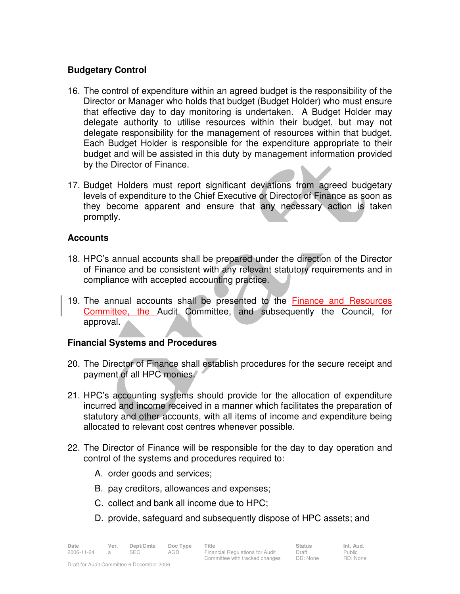## **Budgetary Control**

- 16. The control of expenditure within an agreed budget is the responsibility of the Director or Manager who holds that budget (Budget Holder) who must ensure that effective day to day monitoring is undertaken. A Budget Holder may delegate authority to utilise resources within their budget, but may not delegate responsibility for the management of resources within that budget. Each Budget Holder is responsible for the expenditure appropriate to their budget and will be assisted in this duty by management information provided by the Director of Finance.
- 17. Budget Holders must report significant deviations from agreed budgetary levels of expenditure to the Chief Executive or Director of Finance as soon as they become apparent and ensure that any necessary action is taken promptly.

## **Accounts**

- 18. HPC's annual accounts shall be prepared under the direction of the Director of Finance and be consistent with any relevant statutory requirements and in compliance with accepted accounting practice.
- 19. The annual accounts shall be presented to the Finance and Resources Committee, the Audit Committee, and subsequently the Council, for approval.

# **Financial Systems and Procedures**

- 20. The Director of Finance shall establish procedures for the secure receipt and payment of all HPC monies.
- 21. HPC's accounting systems should provide for the allocation of expenditure incurred and income received in a manner which facilitates the preparation of statutory and other accounts, with all items of income and expenditure being allocated to relevant cost centres whenever possible.
- 22. The Director of Finance will be responsible for the day to day operation and control of the systems and procedures required to:
	- A. order goods and services;
	- B. pay creditors, allowances and expenses;
	- C. collect and bank all income due to HPC;
	- D. provide, safeguard and subsequently dispose of HPC assets; and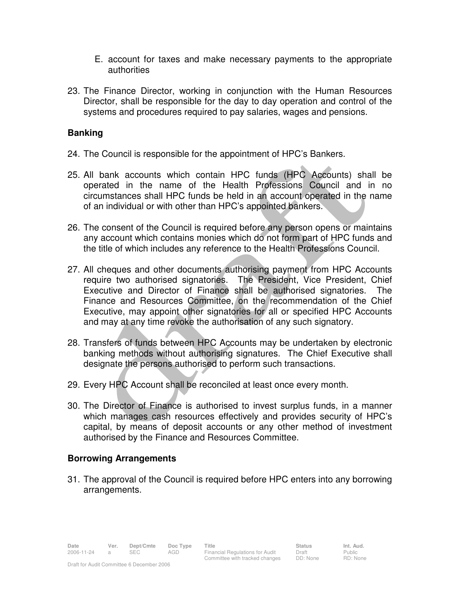- E. account for taxes and make necessary payments to the appropriate authorities
- 23. The Finance Director, working in conjunction with the Human Resources Director, shall be responsible for the day to day operation and control of the systems and procedures required to pay salaries, wages and pensions.

# **Banking**

- 24. The Council is responsible for the appointment of HPC's Bankers.
- 25. All bank accounts which contain HPC funds (HPC Accounts) shall be operated in the name of the Health Professions Council and in no circumstances shall HPC funds be held in an account operated in the name of an individual or with other than HPC's appointed bankers.
- 26. The consent of the Council is required before any person opens or maintains any account which contains monies which do not form part of HPC funds and the title of which includes any reference to the Health Professions Council.
- 27. All cheques and other documents authorising payment from HPC Accounts require two authorised signatories. The President, Vice President, Chief Executive and Director of Finance shall be authorised signatories. The Finance and Resources Committee, on the recommendation of the Chief Executive, may appoint other signatories for all or specified HPC Accounts and may at any time revoke the authorisation of any such signatory.
- 28. Transfers of funds between HPC Accounts may be undertaken by electronic banking methods without authorising signatures. The Chief Executive shall designate the persons authorised to perform such transactions.
- 29. Every HPC Account shall be reconciled at least once every month.
- 30. The Director of Finance is authorised to invest surplus funds, in a manner which manages cash resources effectively and provides security of HPC's capital, by means of deposit accounts or any other method of investment authorised by the Finance and Resources Committee.

# **Borrowing Arrangements**

31. The approval of the Council is required before HPC enters into any borrowing arrangements.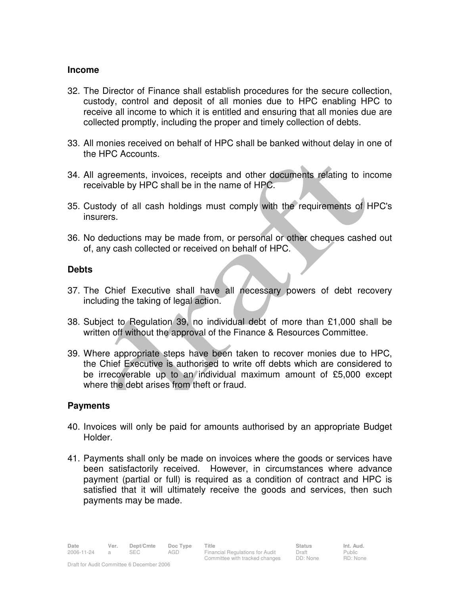#### **Income**

- 32. The Director of Finance shall establish procedures for the secure collection, custody, control and deposit of all monies due to HPC enabling HPC to receive all income to which it is entitled and ensuring that all monies due are collected promptly, including the proper and timely collection of debts.
- 33. All monies received on behalf of HPC shall be banked without delay in one of the HPC Accounts.
- 34. All agreements, invoices, receipts and other documents relating to income receivable by HPC shall be in the name of HPC.
- 35. Custody of all cash holdings must comply with the requirements of HPC's insurers.
- 36. No deductions may be made from, or personal or other cheques cashed out of, any cash collected or received on behalf of HPC.

## **Debts**

- 37. The Chief Executive shall have all necessary powers of debt recovery including the taking of legal action.
- 38. Subject to Regulation 39, no individual debt of more than £1,000 shall be written off without the approval of the Finance & Resources Committee.
- 39. Where appropriate steps have been taken to recover monies due to HPC, the Chief Executive is authorised to write off debts which are considered to be irrecoverable up to an individual maximum amount of £5,000 except where the debt arises from theft or fraud.

## **Payments**

- 40. Invoices will only be paid for amounts authorised by an appropriate Budget Holder.
- 41. Payments shall only be made on invoices where the goods or services have been satisfactorily received. However, in circumstances where advance payment (partial or full) is required as a condition of contract and HPC is satisfied that it will ultimately receive the goods and services, then such payments may be made.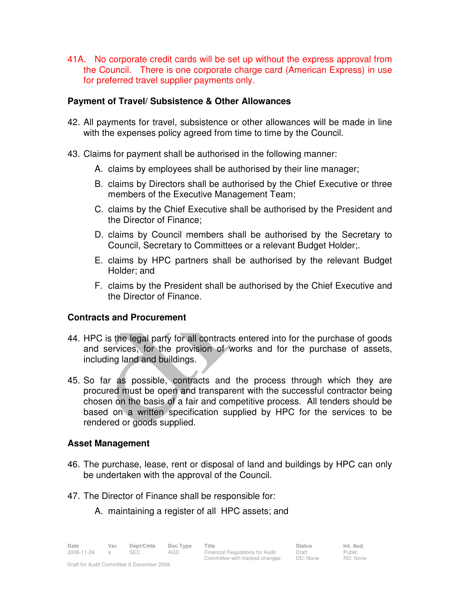41A. No corporate credit cards will be set up without the express approval from the Council. There is one corporate charge card (American Express) in use for preferred travel supplier payments only.

## **Payment of Travel/ Subsistence & Other Allowances**

- 42. All payments for travel, subsistence or other allowances will be made in line with the expenses policy agreed from time to time by the Council.
- 43. Claims for payment shall be authorised in the following manner:
	- A. claims by employees shall be authorised by their line manager;
	- B. claims by Directors shall be authorised by the Chief Executive or three members of the Executive Management Team;
	- C. claims by the Chief Executive shall be authorised by the President and the Director of Finance;
	- D. claims by Council members shall be authorised by the Secretary to Council, Secretary to Committees or a relevant Budget Holder;.
	- E. claims by HPC partners shall be authorised by the relevant Budget Holder; and
	- F. claims by the President shall be authorised by the Chief Executive and the Director of Finance.

# **Contracts and Procurement**

- 44. HPC is the legal party for all contracts entered into for the purchase of goods and services, for the provision of works and for the purchase of assets, including land and buildings.
- 45. So far as possible, contracts and the process through which they are procured must be open and transparent with the successful contractor being chosen on the basis of a fair and competitive process. All tenders should be based on a written specification supplied by HPC for the services to be rendered or goods supplied.

## **Asset Management**

- 46. The purchase, lease, rent or disposal of land and buildings by HPC can only be undertaken with the approval of the Council.
- 47. The Director of Finance shall be responsible for:
	- A. maintaining a register of all HPC assets; and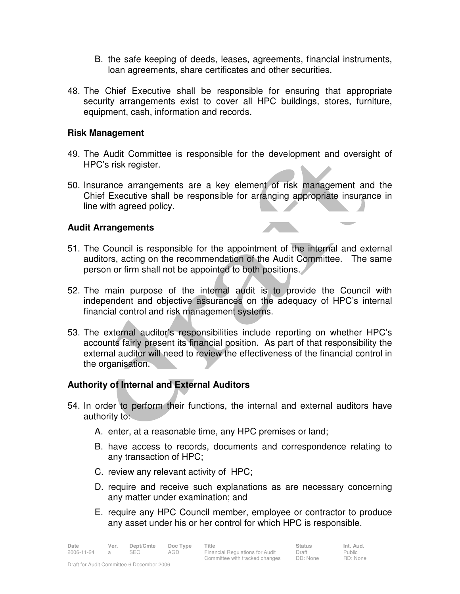- B. the safe keeping of deeds, leases, agreements, financial instruments, loan agreements, share certificates and other securities.
- 48. The Chief Executive shall be responsible for ensuring that appropriate security arrangements exist to cover all HPC buildings, stores, furniture, equipment, cash, information and records.

## **Risk Management**

- 49. The Audit Committee is responsible for the development and oversight of HPC's risk register.
- 50. Insurance arrangements are a key element of risk management and the Chief Executive shall be responsible for arranging appropriate insurance in line with agreed policy.

## **Audit Arrangements**

- 51. The Council is responsible for the appointment of the internal and external auditors, acting on the recommendation of the Audit Committee. The same person or firm shall not be appointed to both positions.
- 52. The main purpose of the internal audit is to provide the Council with independent and objective assurances on the adequacy of HPC's internal financial control and risk management systems.
- 53. The external auditor's responsibilities include reporting on whether HPC's accounts fairly present its financial position. As part of that responsibility the external auditor will need to review the effectiveness of the financial control in the organisation.

## **Authority of Internal and External Auditors**

- 54. In order to perform their functions, the internal and external auditors have authority to:
	- A. enter, at a reasonable time, any HPC premises or land;
	- B. have access to records, documents and correspondence relating to any transaction of HPC;
	- C. review any relevant activity of HPC;
	- D. require and receive such explanations as are necessary concerning any matter under examination; and
	- E. require any HPC Council member, employee or contractor to produce any asset under his or her control for which HPC is responsible.